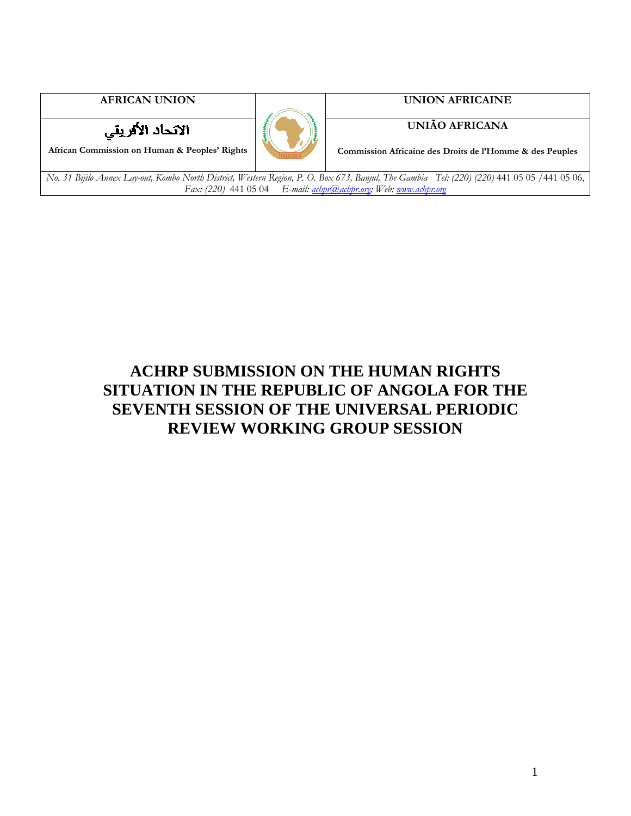



**AFRICAN UNION UNION AFRICAINE** 

### **UNIÃO AFRICANA**

**Commission Africaine des Droits de l'Homme & des Peuples**

*No. 31 Bijilo Annex Lay-out, Kombo North District, Western Region, P. O. Box 673, Banjul, The Gambia Tel: (220) (220)* 441 05 05 /441 05 06, *Fax: (220)* 441 05 04 *E-mail: achpr@achpr.org; Web: www.achpr.org*

# **ACHRP SUBMISSION ON THE HUMAN RIGHTS SITUATION IN THE REPUBLIC OF ANGOLA FOR THE SEVENTH SESSION OF THE UNIVERSAL PERIODIC REVIEW WORKING GROUP SESSION**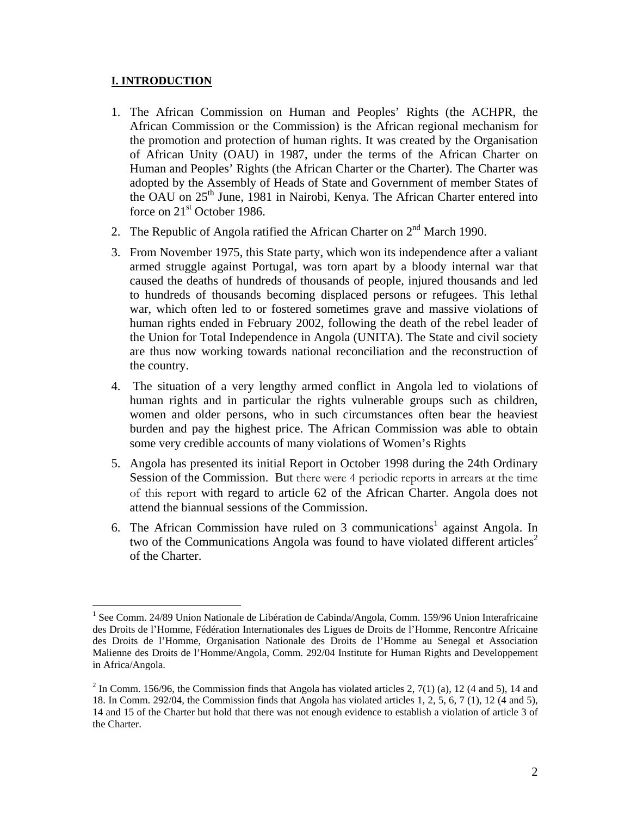#### **I. INTRODUCTION**

- 1. The African Commission on Human and Peoples' Rights (the ACHPR, the African Commission or the Commission) is the African regional mechanism for the promotion and protection of human rights. It was created by the Organisation of African Unity (OAU) in 1987, under the terms of the African Charter on Human and Peoples' Rights (the African Charter or the Charter). The Charter was adopted by the Assembly of Heads of State and Government of member States of the OAU on 25<sup>th</sup> June, 1981 in Nairobi, Kenya. The African Charter entered into force on  $21<sup>st</sup>$  October 1986.
- 2. The Republic of Angola ratified the African Charter on  $2<sup>nd</sup>$  March 1990.
- 3. From November 1975, this State party, which won its independence after a valiant armed struggle against Portugal, was torn apart by a bloody internal war that caused the deaths of hundreds of thousands of people, injured thousands and led to hundreds of thousands becoming displaced persons or refugees. This lethal war, which often led to or fostered sometimes grave and massive violations of human rights ended in February 2002, following the death of the rebel leader of the Union for Total Independence in Angola (UNITA). The State and civil society are thus now working towards national reconciliation and the reconstruction of the country.
- 4. The situation of a very lengthy armed conflict in Angola led to violations of human rights and in particular the rights vulnerable groups such as children, women and older persons, who in such circumstances often bear the heaviest burden and pay the highest price. The African Commission was able to obtain some very credible accounts of many violations of Women's Rights
- 5. Angola has presented its initial Report in October 1998 during the 24th Ordinary Session of the Commission. But there were 4 periodic reports in arrears at the time of this report with regard to article 62 of the African Charter. Angola does not attend the biannual sessions of the Commission.
- 6. The African Commission have ruled on  $3$  communications<sup>1</sup> against Angola. In two of the Communications Angola was found to have violated different articles<sup>2</sup> of the Charter.

<sup>1</sup> <sup>1</sup> See Comm. 24/89 Union Nationale de Libération de Cabinda/Angola, Comm. 159/96 Union Interafricaine des Droits de l'Homme, Fédération Internationales des Ligues de Droits de l'Homme, Rencontre Africaine des Droits de l'Homme, Organisation Nationale des Droits de l'Homme au Senegal et Association Malienne des Droits de l'Homme/Angola, Comm. 292/04 Institute for Human Rights and Developpement in Africa/Angola.

 $2 \text{ In Comm. } 156/96$ , the Commission finds that Angola has violated articles 2, 7(1) (a), 12 (4 and 5), 14 and 18. In Comm. 292/04, the Commission finds that Angola has violated articles 1, 2, 5, 6, 7 (1), 12 (4 and 5), 14 and 15 of the Charter but hold that there was not enough evidence to establish a violation of article 3 of the Charter.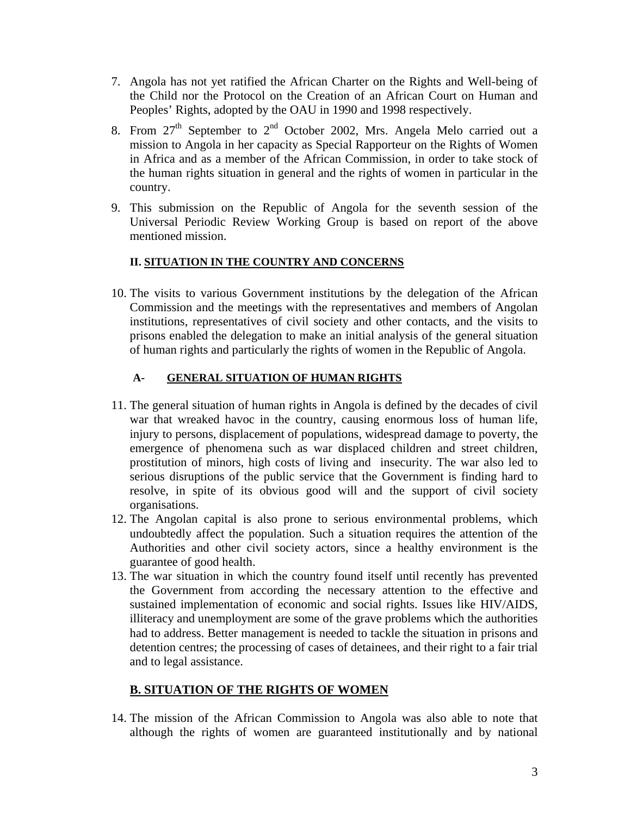- 7. Angola has not yet ratified the African Charter on the Rights and Well-being of the Child nor the Protocol on the Creation of an African Court on Human and Peoples' Rights, adopted by the OAU in 1990 and 1998 respectively.
- 8. From  $27<sup>th</sup>$  September to  $2<sup>nd</sup>$  October 2002, Mrs. Angela Melo carried out a mission to Angola in her capacity as Special Rapporteur on the Rights of Women in Africa and as a member of the African Commission, in order to take stock of the human rights situation in general and the rights of women in particular in the country.
- 9. This submission on the Republic of Angola for the seventh session of the Universal Periodic Review Working Group is based on report of the above mentioned mission.

### **II. SITUATION IN THE COUNTRY AND CONCERNS**

10. The visits to various Government institutions by the delegation of the African Commission and the meetings with the representatives and members of Angolan institutions, representatives of civil society and other contacts, and the visits to prisons enabled the delegation to make an initial analysis of the general situation of human rights and particularly the rights of women in the Republic of Angola.

### **A- GENERAL SITUATION OF HUMAN RIGHTS**

- 11. The general situation of human rights in Angola is defined by the decades of civil war that wreaked havoc in the country, causing enormous loss of human life, injury to persons, displacement of populations, widespread damage to poverty, the emergence of phenomena such as war displaced children and street children, prostitution of minors, high costs of living and insecurity. The war also led to serious disruptions of the public service that the Government is finding hard to resolve, in spite of its obvious good will and the support of civil society organisations.
- 12. The Angolan capital is also prone to serious environmental problems, which undoubtedly affect the population. Such a situation requires the attention of the Authorities and other civil society actors, since a healthy environment is the guarantee of good health.
- 13. The war situation in which the country found itself until recently has prevented the Government from according the necessary attention to the effective and sustained implementation of economic and social rights. Issues like HIV/AIDS, illiteracy and unemployment are some of the grave problems which the authorities had to address. Better management is needed to tackle the situation in prisons and detention centres; the processing of cases of detainees, and their right to a fair trial and to legal assistance.

# **B. SITUATION OF THE RIGHTS OF WOMEN**

14. The mission of the African Commission to Angola was also able to note that although the rights of women are guaranteed institutionally and by national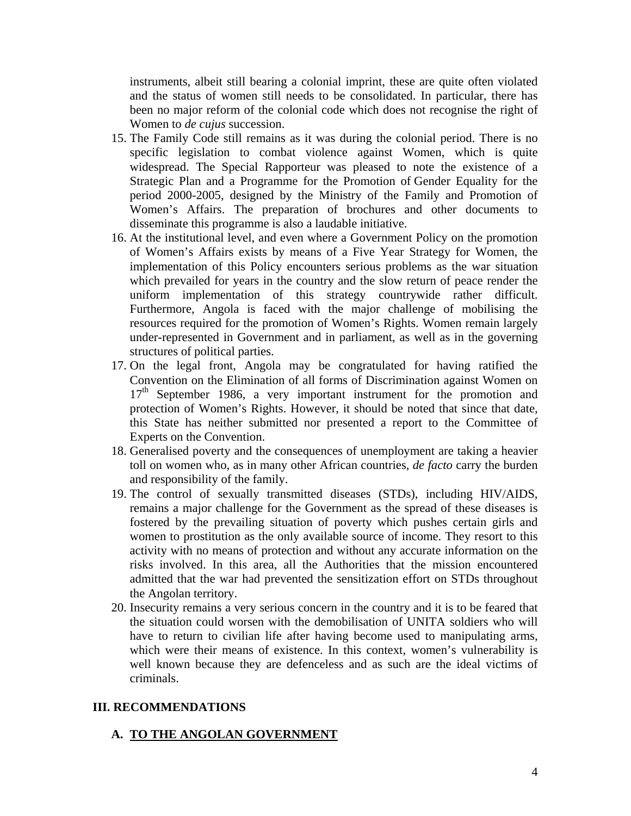instruments, albeit still bearing a colonial imprint, these are quite often violated and the status of women still needs to be consolidated. In particular, there has been no major reform of the colonial code which does not recognise the right of Women to *de cujus* succession.

- 15. The Family Code still remains as it was during the colonial period. There is no specific legislation to combat violence against Women, which is quite widespread. The Special Rapporteur was pleased to note the existence of a Strategic Plan and a Programme for the Promotion of Gender Equality for the period 2000-2005, designed by the Ministry of the Family and Promotion of Women's Affairs. The preparation of brochures and other documents to disseminate this programme is also a laudable initiative.
- 16. At the institutional level, and even where a Government Policy on the promotion of Women's Affairs exists by means of a Five Year Strategy for Women, the implementation of this Policy encounters serious problems as the war situation which prevailed for years in the country and the slow return of peace render the uniform implementation of this strategy countrywide rather difficult. Furthermore, Angola is faced with the major challenge of mobilising the resources required for the promotion of Women's Rights. Women remain largely under-represented in Government and in parliament, as well as in the governing structures of political parties.
- 17. On the legal front, Angola may be congratulated for having ratified the Convention on the Elimination of all forms of Discrimination against Women on  $17<sup>th</sup>$  September 1986, a very important instrument for the promotion and protection of Women's Rights. However, it should be noted that since that date, this State has neither submitted nor presented a report to the Committee of Experts on the Convention.
- 18. Generalised poverty and the consequences of unemployment are taking a heavier toll on women who, as in many other African countries, *de facto* carry the burden and responsibility of the family.
- 19. The control of sexually transmitted diseases (STDs), including HIV/AIDS, remains a major challenge for the Government as the spread of these diseases is fostered by the prevailing situation of poverty which pushes certain girls and women to prostitution as the only available source of income. They resort to this activity with no means of protection and without any accurate information on the risks involved. In this area, all the Authorities that the mission encountered admitted that the war had prevented the sensitization effort on STDs throughout the Angolan territory.
- 20. Insecurity remains a very serious concern in the country and it is to be feared that the situation could worsen with the demobilisation of UNITA soldiers who will have to return to civilian life after having become used to manipulating arms, which were their means of existence. In this context, women's vulnerability is well known because they are defenceless and as such are the ideal victims of criminals.

#### **III. RECOMMENDATIONS**

#### **A. TO THE ANGOLAN GOVERNMENT**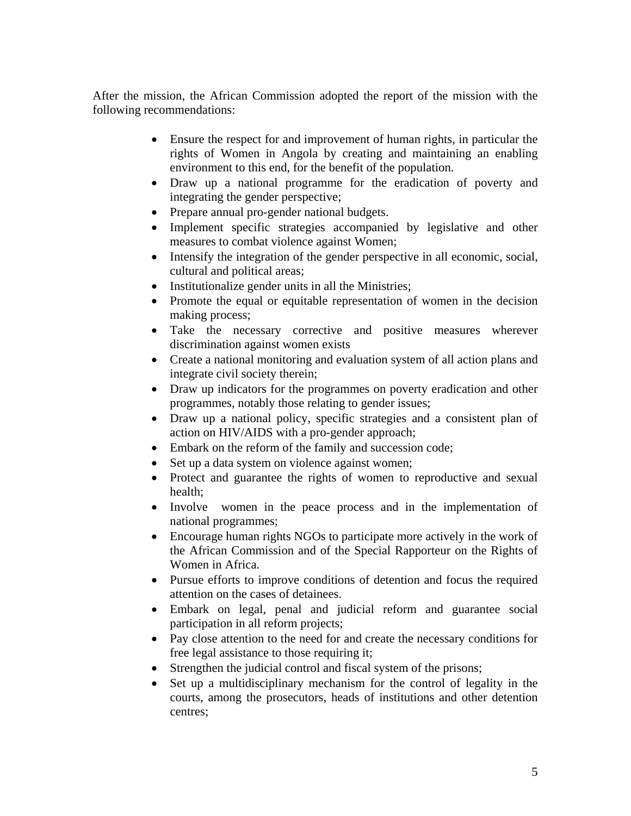After the mission, the African Commission adopted the report of the mission with the following recommendations:

- Ensure the respect for and improvement of human rights, in particular the rights of Women in Angola by creating and maintaining an enabling environment to this end, for the benefit of the population.
- Draw up a national programme for the eradication of poverty and integrating the gender perspective;
- Prepare annual pro-gender national budgets.
- Implement specific strategies accompanied by legislative and other measures to combat violence against Women;
- Intensify the integration of the gender perspective in all economic, social, cultural and political areas;
- Institutionalize gender units in all the Ministries;
- Promote the equal or equitable representation of women in the decision making process;
- Take the necessary corrective and positive measures wherever discrimination against women exists
- Create a national monitoring and evaluation system of all action plans and integrate civil society therein;
- Draw up indicators for the programmes on poverty eradication and other programmes, notably those relating to gender issues;
- Draw up a national policy, specific strategies and a consistent plan of action on HIV/AIDS with a pro-gender approach;
- Embark on the reform of the family and succession code;
- Set up a data system on violence against women;
- Protect and guarantee the rights of women to reproductive and sexual health;
- Involve women in the peace process and in the implementation of national programmes;
- Encourage human rights NGOs to participate more actively in the work of the African Commission and of the Special Rapporteur on the Rights of Women in Africa.
- Pursue efforts to improve conditions of detention and focus the required attention on the cases of detainees.
- Embark on legal, penal and judicial reform and guarantee social participation in all reform projects;
- Pay close attention to the need for and create the necessary conditions for free legal assistance to those requiring it;
- Strengthen the judicial control and fiscal system of the prisons;
- Set up a multidisciplinary mechanism for the control of legality in the courts, among the prosecutors, heads of institutions and other detention centres;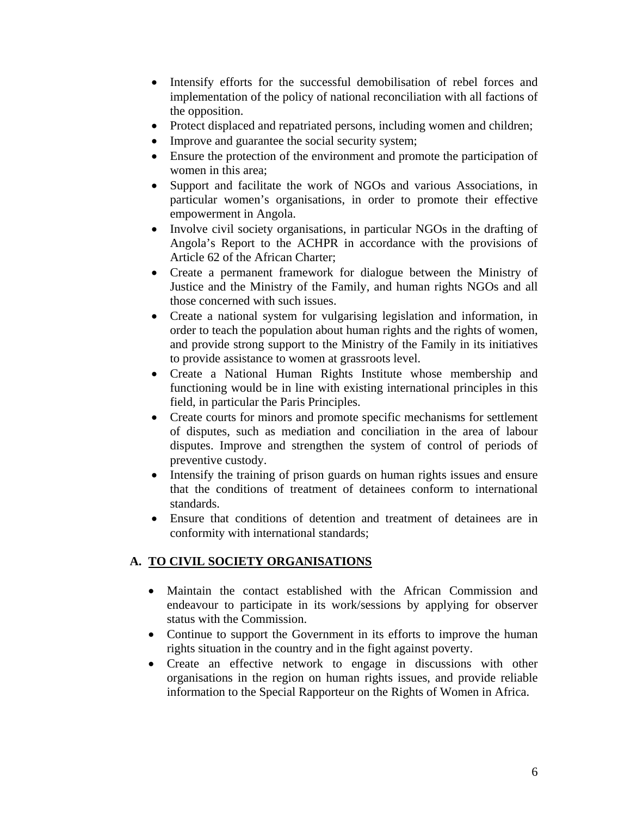- Intensify efforts for the successful demobilisation of rebel forces and implementation of the policy of national reconciliation with all factions of the opposition.
- Protect displaced and repatriated persons, including women and children;
- Improve and guarantee the social security system;
- Ensure the protection of the environment and promote the participation of women in this area;
- Support and facilitate the work of NGOs and various Associations, in particular women's organisations, in order to promote their effective empowerment in Angola.
- Involve civil society organisations, in particular NGOs in the drafting of Angola's Report to the ACHPR in accordance with the provisions of Article 62 of the African Charter;
- Create a permanent framework for dialogue between the Ministry of Justice and the Ministry of the Family, and human rights NGOs and all those concerned with such issues.
- Create a national system for vulgarising legislation and information, in order to teach the population about human rights and the rights of women, and provide strong support to the Ministry of the Family in its initiatives to provide assistance to women at grassroots level.
- Create a National Human Rights Institute whose membership and functioning would be in line with existing international principles in this field, in particular the Paris Principles.
- Create courts for minors and promote specific mechanisms for settlement of disputes, such as mediation and conciliation in the area of labour disputes. Improve and strengthen the system of control of periods of preventive custody.
- Intensify the training of prison guards on human rights issues and ensure that the conditions of treatment of detainees conform to international standards.
- Ensure that conditions of detention and treatment of detainees are in conformity with international standards;

# **A. TO CIVIL SOCIETY ORGANISATIONS**

- Maintain the contact established with the African Commission and endeavour to participate in its work/sessions by applying for observer status with the Commission.
- Continue to support the Government in its efforts to improve the human rights situation in the country and in the fight against poverty.
- Create an effective network to engage in discussions with other organisations in the region on human rights issues, and provide reliable information to the Special Rapporteur on the Rights of Women in Africa.